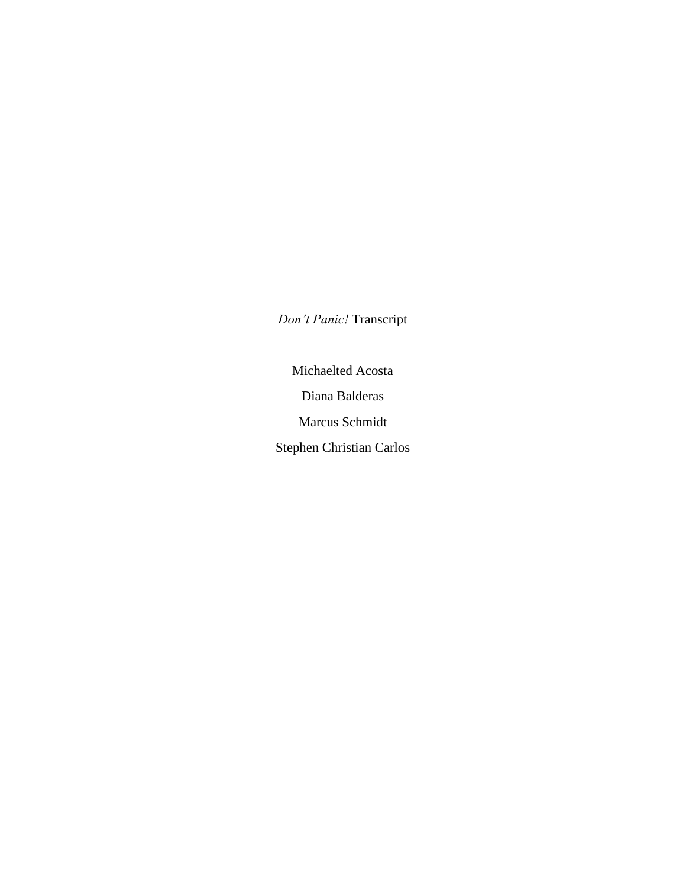*Don't Panic!* Transcript

Michaelted Acosta Diana Balderas Marcus Schmidt Stephen Christian Carlos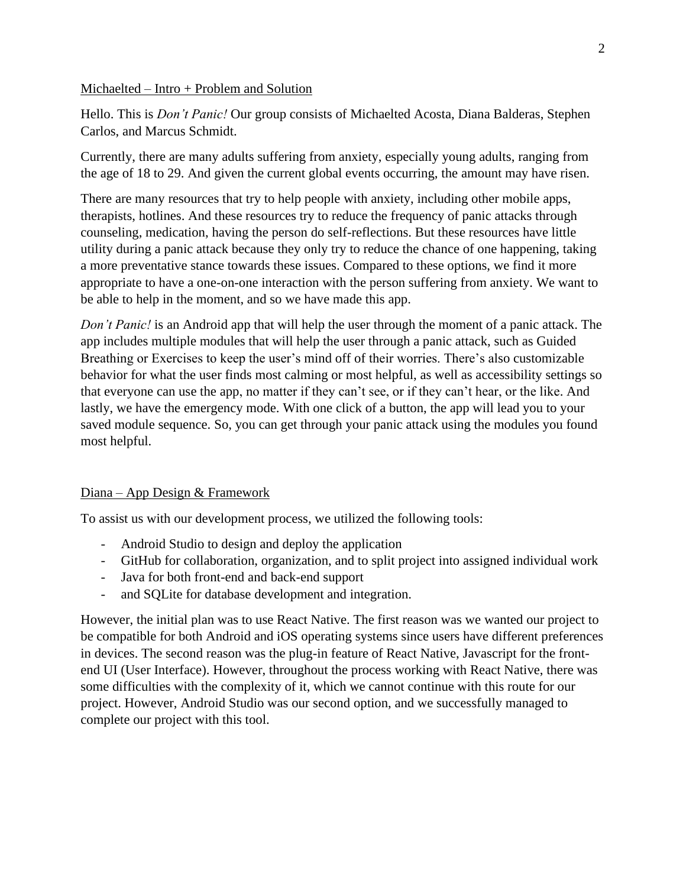### Michaelted – Intro + Problem and Solution

Hello. This is *Don't Panic!* Our group consists of Michaelted Acosta, Diana Balderas, Stephen Carlos, and Marcus Schmidt.

Currently, there are many adults suffering from anxiety, especially young adults, ranging from the age of 18 to 29. And given the current global events occurring, the amount may have risen.

There are many resources that try to help people with anxiety, including other mobile apps, therapists, hotlines. And these resources try to reduce the frequency of panic attacks through counseling, medication, having the person do self-reflections. But these resources have little utility during a panic attack because they only try to reduce the chance of one happening, taking a more preventative stance towards these issues. Compared to these options, we find it more appropriate to have a one-on-one interaction with the person suffering from anxiety. We want to be able to help in the moment, and so we have made this app.

*Don't Panic!* is an Android app that will help the user through the moment of a panic attack. The app includes multiple modules that will help the user through a panic attack, such as Guided Breathing or Exercises to keep the user's mind off of their worries. There's also customizable behavior for what the user finds most calming or most helpful, as well as accessibility settings so that everyone can use the app, no matter if they can't see, or if they can't hear, or the like. And lastly, we have the emergency mode. With one click of a button, the app will lead you to your saved module sequence. So, you can get through your panic attack using the modules you found most helpful.

# Diana – App Design & Framework

To assist us with our development process, we utilized the following tools:

- Android Studio to design and deploy the application
- GitHub for collaboration, organization, and to split project into assigned individual work
- Java for both front-end and back-end support
- and SQLite for database development and integration.

However, the initial plan was to use React Native. The first reason was we wanted our project to be compatible for both Android and iOS operating systems since users have different preferences in devices. The second reason was the plug-in feature of React Native, Javascript for the frontend UI (User Interface). However, throughout the process working with React Native, there was some difficulties with the complexity of it, which we cannot continue with this route for our project. However, Android Studio was our second option, and we successfully managed to complete our project with this tool.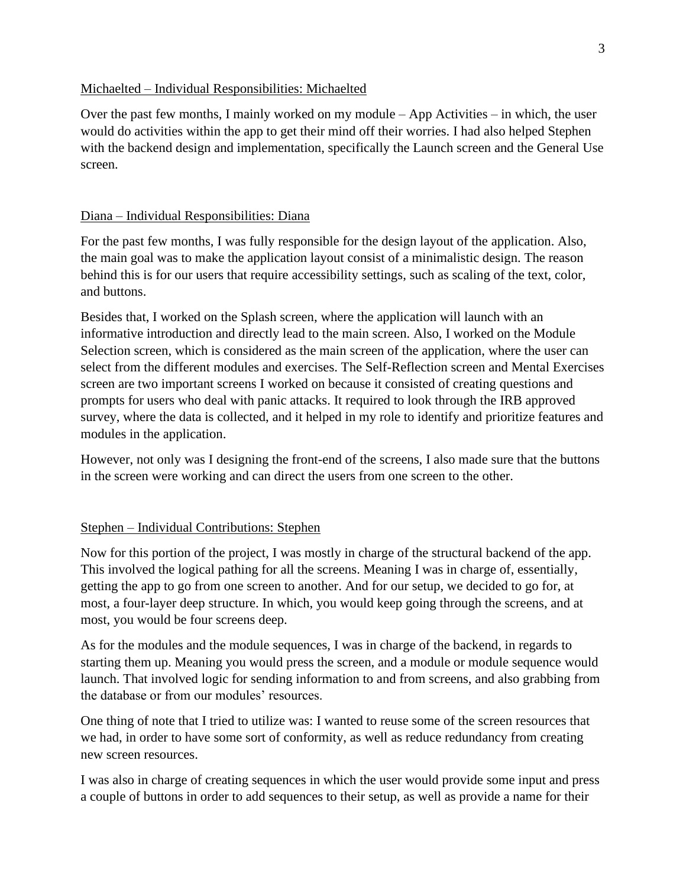## Michaelted – Individual Responsibilities: Michaelted

Over the past few months, I mainly worked on my module – App Activities – in which, the user would do activities within the app to get their mind off their worries. I had also helped Stephen with the backend design and implementation, specifically the Launch screen and the General Use screen.

# Diana – Individual Responsibilities: Diana

For the past few months, I was fully responsible for the design layout of the application. Also, the main goal was to make the application layout consist of a minimalistic design. The reason behind this is for our users that require accessibility settings, such as scaling of the text, color, and buttons.

Besides that, I worked on the Splash screen, where the application will launch with an informative introduction and directly lead to the main screen. Also, I worked on the Module Selection screen, which is considered as the main screen of the application, where the user can select from the different modules and exercises. The Self-Reflection screen and Mental Exercises screen are two important screens I worked on because it consisted of creating questions and prompts for users who deal with panic attacks. It required to look through the IRB approved survey, where the data is collected, and it helped in my role to identify and prioritize features and modules in the application.

However, not only was I designing the front-end of the screens, I also made sure that the buttons in the screen were working and can direct the users from one screen to the other.

# Stephen – Individual Contributions: Stephen

Now for this portion of the project, I was mostly in charge of the structural backend of the app. This involved the logical pathing for all the screens. Meaning I was in charge of, essentially, getting the app to go from one screen to another. And for our setup, we decided to go for, at most, a four-layer deep structure. In which, you would keep going through the screens, and at most, you would be four screens deep.

As for the modules and the module sequences, I was in charge of the backend, in regards to starting them up. Meaning you would press the screen, and a module or module sequence would launch. That involved logic for sending information to and from screens, and also grabbing from the database or from our modules' resources.

One thing of note that I tried to utilize was: I wanted to reuse some of the screen resources that we had, in order to have some sort of conformity, as well as reduce redundancy from creating new screen resources.

I was also in charge of creating sequences in which the user would provide some input and press a couple of buttons in order to add sequences to their setup, as well as provide a name for their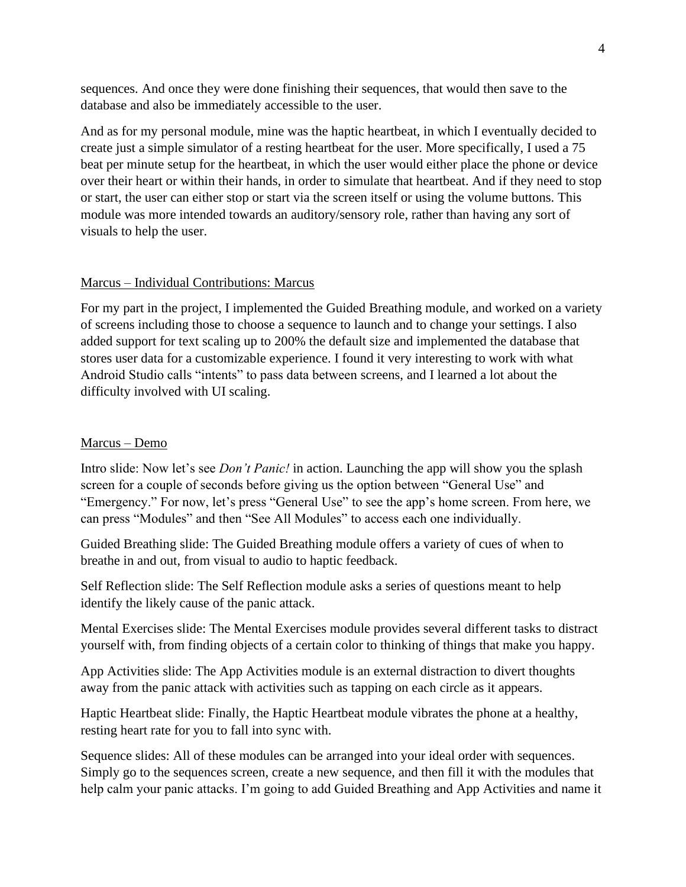sequences. And once they were done finishing their sequences, that would then save to the database and also be immediately accessible to the user.

And as for my personal module, mine was the haptic heartbeat, in which I eventually decided to create just a simple simulator of a resting heartbeat for the user. More specifically, I used a 75 beat per minute setup for the heartbeat, in which the user would either place the phone or device over their heart or within their hands, in order to simulate that heartbeat. And if they need to stop or start, the user can either stop or start via the screen itself or using the volume buttons. This module was more intended towards an auditory/sensory role, rather than having any sort of visuals to help the user.

#### Marcus – Individual Contributions: Marcus

For my part in the project, I implemented the Guided Breathing module, and worked on a variety of screens including those to choose a sequence to launch and to change your settings. I also added support for text scaling up to 200% the default size and implemented the database that stores user data for a customizable experience. I found it very interesting to work with what Android Studio calls "intents" to pass data between screens, and I learned a lot about the difficulty involved with UI scaling.

#### Marcus – Demo

Intro slide: Now let's see *Don't Panic!* in action. Launching the app will show you the splash screen for a couple of seconds before giving us the option between "General Use" and "Emergency." For now, let's press "General Use" to see the app's home screen. From here, we can press "Modules" and then "See All Modules" to access each one individually.

Guided Breathing slide: The Guided Breathing module offers a variety of cues of when to breathe in and out, from visual to audio to haptic feedback.

Self Reflection slide: The Self Reflection module asks a series of questions meant to help identify the likely cause of the panic attack.

Mental Exercises slide: The Mental Exercises module provides several different tasks to distract yourself with, from finding objects of a certain color to thinking of things that make you happy.

App Activities slide: The App Activities module is an external distraction to divert thoughts away from the panic attack with activities such as tapping on each circle as it appears.

Haptic Heartbeat slide: Finally, the Haptic Heartbeat module vibrates the phone at a healthy, resting heart rate for you to fall into sync with.

Sequence slides: All of these modules can be arranged into your ideal order with sequences. Simply go to the sequences screen, create a new sequence, and then fill it with the modules that help calm your panic attacks. I'm going to add Guided Breathing and App Activities and name it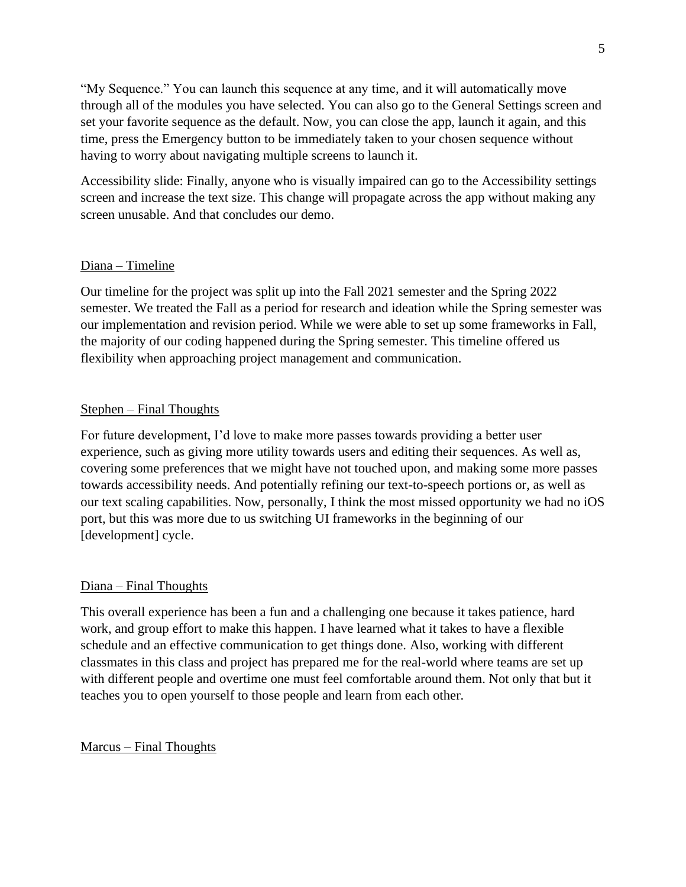"My Sequence." You can launch this sequence at any time, and it will automatically move through all of the modules you have selected. You can also go to the General Settings screen and set your favorite sequence as the default. Now, you can close the app, launch it again, and this time, press the Emergency button to be immediately taken to your chosen sequence without having to worry about navigating multiple screens to launch it.

Accessibility slide: Finally, anyone who is visually impaired can go to the Accessibility settings screen and increase the text size. This change will propagate across the app without making any screen unusable. And that concludes our demo.

# Diana – Timeline

Our timeline for the project was split up into the Fall 2021 semester and the Spring 2022 semester. We treated the Fall as a period for research and ideation while the Spring semester was our implementation and revision period. While we were able to set up some frameworks in Fall, the majority of our coding happened during the Spring semester. This timeline offered us flexibility when approaching project management and communication.

# Stephen – Final Thoughts

For future development, I'd love to make more passes towards providing a better user experience, such as giving more utility towards users and editing their sequences. As well as, covering some preferences that we might have not touched upon, and making some more passes towards accessibility needs. And potentially refining our text-to-speech portions or, as well as our text scaling capabilities. Now, personally, I think the most missed opportunity we had no iOS port, but this was more due to us switching UI frameworks in the beginning of our [development] cycle.

## Diana – Final Thoughts

This overall experience has been a fun and a challenging one because it takes patience, hard work, and group effort to make this happen. I have learned what it takes to have a flexible schedule and an effective communication to get things done. Also, working with different classmates in this class and project has prepared me for the real-world where teams are set up with different people and overtime one must feel comfortable around them. Not only that but it teaches you to open yourself to those people and learn from each other.

## Marcus – Final Thoughts